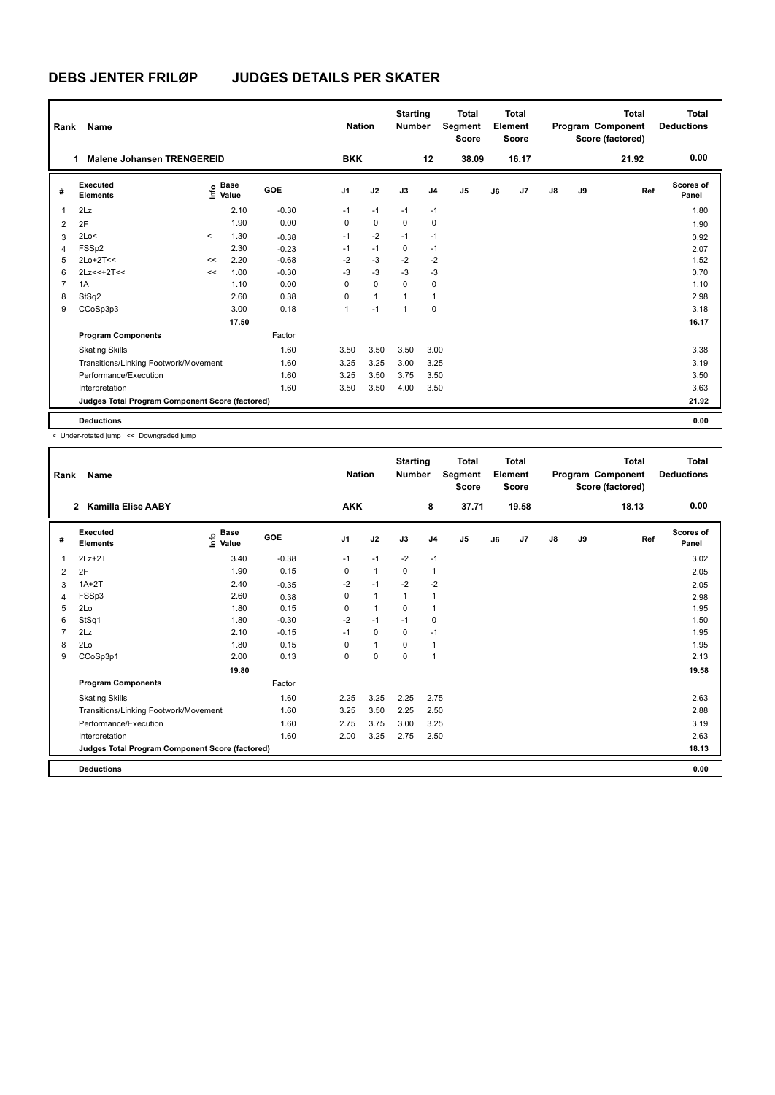| Rank           | Name                                            |         |                                    |         | <b>Nation</b>  |              | <b>Starting</b><br><b>Number</b> |                | <b>Total</b><br>Segment<br><b>Score</b> |    | Total<br>Element<br><b>Score</b> |               |    | <b>Total</b><br>Program Component<br>Score (factored) | <b>Total</b><br><b>Deductions</b> |
|----------------|-------------------------------------------------|---------|------------------------------------|---------|----------------|--------------|----------------------------------|----------------|-----------------------------------------|----|----------------------------------|---------------|----|-------------------------------------------------------|-----------------------------------|
|                | <b>Malene Johansen TRENGEREID</b><br>1          |         |                                    |         | <b>BKK</b>     |              |                                  | 12             | 38.09                                   |    | 16.17                            |               |    | 21.92                                                 | 0.00                              |
| #              | Executed<br><b>Elements</b>                     |         | <b>Base</b><br>$\frac{6}{5}$ Value | GOE     | J <sub>1</sub> | J2           | J3                               | J <sub>4</sub> | J <sub>5</sub>                          | J6 | J7                               | $\mathsf{J}8$ | J9 | Ref                                                   | Scores of<br>Panel                |
| 1              | 2Lz                                             |         | 2.10                               | $-0.30$ | $-1$           | $-1$         | $-1$                             | $-1$           |                                         |    |                                  |               |    |                                                       | 1.80                              |
| 2              | 2F                                              |         | 1.90                               | 0.00    | 0              | $\mathbf 0$  | 0                                | 0              |                                         |    |                                  |               |    |                                                       | 1.90                              |
| 3              | 2Lo<                                            | $\prec$ | 1.30                               | $-0.38$ | $-1$           | $-2$         | $-1$                             | $-1$           |                                         |    |                                  |               |    |                                                       | 0.92                              |
| 4              | FSSp2                                           |         | 2.30                               | $-0.23$ | $-1$           | $-1$         | 0                                | $-1$           |                                         |    |                                  |               |    |                                                       | 2.07                              |
| 5              | $2Lo+2T<<$                                      | <<      | 2.20                               | $-0.68$ | $-2$           | $-3$         | $-2$                             | $-2$           |                                         |    |                                  |               |    |                                                       | 1.52                              |
| 6              | $2Lz<<+2T<<$                                    | <<      | 1.00                               | $-0.30$ | $-3$           | $-3$         | $-3$                             | $-3$           |                                         |    |                                  |               |    |                                                       | 0.70                              |
| $\overline{7}$ | 1A                                              |         | 1.10                               | 0.00    | 0              | $\mathbf 0$  | $\mathbf 0$                      | 0              |                                         |    |                                  |               |    |                                                       | 1.10                              |
| 8              | StSq2                                           |         | 2.60                               | 0.38    | $\Omega$       | $\mathbf{1}$ | $\overline{1}$                   | $\mathbf{1}$   |                                         |    |                                  |               |    |                                                       | 2.98                              |
| 9              | CCoSp3p3                                        |         | 3.00                               | 0.18    | 1              | $-1$         | $\overline{1}$                   | $\mathbf 0$    |                                         |    |                                  |               |    |                                                       | 3.18                              |
|                |                                                 |         | 17.50                              |         |                |              |                                  |                |                                         |    |                                  |               |    |                                                       | 16.17                             |
|                | <b>Program Components</b>                       |         |                                    | Factor  |                |              |                                  |                |                                         |    |                                  |               |    |                                                       |                                   |
|                | <b>Skating Skills</b>                           |         |                                    | 1.60    | 3.50           | 3.50         | 3.50                             | 3.00           |                                         |    |                                  |               |    |                                                       | 3.38                              |
|                | Transitions/Linking Footwork/Movement           |         |                                    | 1.60    | 3.25           | 3.25         | 3.00                             | 3.25           |                                         |    |                                  |               |    |                                                       | 3.19                              |
|                | Performance/Execution                           |         |                                    | 1.60    | 3.25           | 3.50         | 3.75                             | 3.50           |                                         |    |                                  |               |    |                                                       | 3.50                              |
|                | Interpretation                                  |         |                                    | 1.60    | 3.50           | 3.50         | 4.00                             | 3.50           |                                         |    |                                  |               |    |                                                       | 3.63                              |
|                | Judges Total Program Component Score (factored) |         |                                    |         |                |              |                                  |                |                                         |    |                                  |               |    |                                                       | 21.92                             |
|                | <b>Deductions</b>                               |         |                                    |         |                |              |                                  |                |                                         |    |                                  |               |    |                                                       | 0.00                              |

< Under-rotated jump << Downgraded jump

| Rank           | Name                                            |                   |         | <b>Nation</b>  |             | <b>Starting</b><br><b>Number</b> |                | <b>Total</b><br>Segment<br><b>Score</b> |    | <b>Total</b><br>Element<br><b>Score</b> |               |    | <b>Total</b><br>Program Component<br>Score (factored) | <b>Total</b><br><b>Deductions</b> |
|----------------|-------------------------------------------------|-------------------|---------|----------------|-------------|----------------------------------|----------------|-----------------------------------------|----|-----------------------------------------|---------------|----|-------------------------------------------------------|-----------------------------------|
|                | <b>Kamilla Elise AABY</b><br>$\overline{2}$     |                   |         | <b>AKK</b>     |             |                                  | 8              | 37.71                                   |    | 19.58                                   |               |    | 18.13                                                 | 0.00                              |
| #              | Executed<br><b>Elements</b>                     | e Base<br>⊆ Value | GOE     | J <sub>1</sub> | J2          | J3                               | J <sub>4</sub> | J <sub>5</sub>                          | J6 | J <sub>7</sub>                          | $\mathsf{J}8$ | J9 | Ref                                                   | Scores of<br>Panel                |
| 1              | $2Lz+2T$                                        | 3.40              | $-0.38$ | $-1$           | $-1$        | $-2$                             | $-1$           |                                         |    |                                         |               |    |                                                       | 3.02                              |
| 2              | 2F                                              | 1.90              | 0.15    | 0              | 1           | 0                                | 1              |                                         |    |                                         |               |    |                                                       | 2.05                              |
| 3              | $1A+2T$                                         | 2.40              | $-0.35$ | $-2$           | $-1$        | $-2$                             | $-2$           |                                         |    |                                         |               |    |                                                       | 2.05                              |
| 4              | FSSp3                                           | 2.60              | 0.38    | 0              | 1           | 1                                | 1              |                                         |    |                                         |               |    |                                                       | 2.98                              |
| 5              | 2Lo                                             | 1.80              | 0.15    | 0              | 1           | 0                                | 1              |                                         |    |                                         |               |    |                                                       | 1.95                              |
| 6              | StSq1                                           | 1.80              | $-0.30$ | $-2$           | $-1$        | $-1$                             | 0              |                                         |    |                                         |               |    |                                                       | 1.50                              |
| $\overline{7}$ | 2Lz                                             | 2.10              | $-0.15$ | $-1$           | $\Omega$    | $\Omega$                         | $-1$           |                                         |    |                                         |               |    |                                                       | 1.95                              |
| 8              | 2Lo                                             | 1.80              | 0.15    | 0              | $\mathbf 1$ | 0                                | 1              |                                         |    |                                         |               |    |                                                       | 1.95                              |
| 9              | CCoSp3p1                                        | 2.00              | 0.13    | 0              | 0           | 0                                | 1              |                                         |    |                                         |               |    |                                                       | 2.13                              |
|                |                                                 | 19.80             |         |                |             |                                  |                |                                         |    |                                         |               |    |                                                       | 19.58                             |
|                | <b>Program Components</b>                       |                   | Factor  |                |             |                                  |                |                                         |    |                                         |               |    |                                                       |                                   |
|                | <b>Skating Skills</b>                           |                   | 1.60    | 2.25           | 3.25        | 2.25                             | 2.75           |                                         |    |                                         |               |    |                                                       | 2.63                              |
|                | Transitions/Linking Footwork/Movement           |                   | 1.60    | 3.25           | 3.50        | 2.25                             | 2.50           |                                         |    |                                         |               |    |                                                       | 2.88                              |
|                | Performance/Execution                           |                   | 1.60    | 2.75           | 3.75        | 3.00                             | 3.25           |                                         |    |                                         |               |    |                                                       | 3.19                              |
|                | Interpretation                                  |                   | 1.60    | 2.00           | 3.25        | 2.75                             | 2.50           |                                         |    |                                         |               |    |                                                       | 2.63                              |
|                | Judges Total Program Component Score (factored) |                   |         |                |             |                                  |                |                                         |    |                                         |               |    |                                                       | 18.13                             |
|                | <b>Deductions</b>                               |                   |         |                |             |                                  |                |                                         |    |                                         |               |    |                                                       | 0.00                              |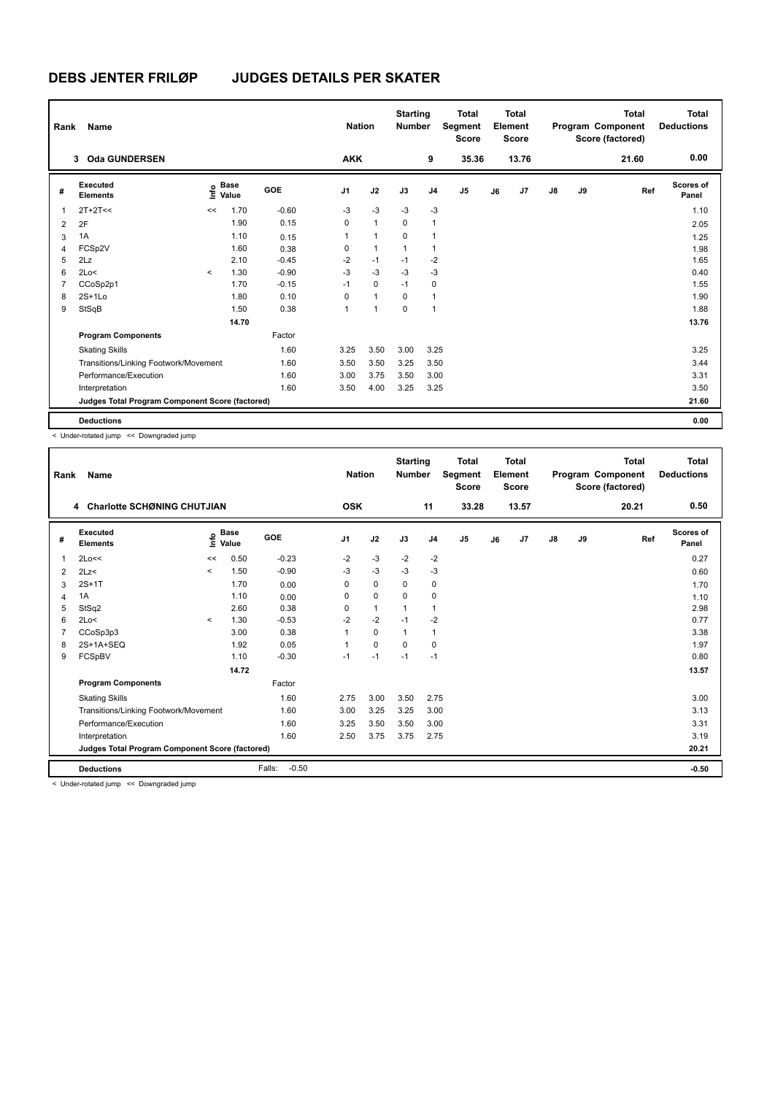| Rank           | Name                                            |         |                      |            | <b>Nation</b>  |              | <b>Starting</b><br><b>Number</b> |                | <b>Total</b><br>Segment<br><b>Score</b> |    | <b>Total</b><br>Element<br><b>Score</b> |               |    | <b>Total</b><br>Program Component<br>Score (factored) | <b>Total</b><br><b>Deductions</b> |
|----------------|-------------------------------------------------|---------|----------------------|------------|----------------|--------------|----------------------------------|----------------|-----------------------------------------|----|-----------------------------------------|---------------|----|-------------------------------------------------------|-----------------------------------|
|                | <b>Oda GUNDERSEN</b><br>3                       |         |                      |            | <b>AKK</b>     |              |                                  | 9              | 35.36                                   |    | 13.76                                   |               |    | 21.60                                                 | 0.00                              |
| #              | Executed<br><b>Elements</b>                     | ۴o      | <b>Base</b><br>Value | <b>GOE</b> | J <sub>1</sub> | J2           | J3                               | J <sub>4</sub> | J5                                      | J6 | J <sub>7</sub>                          | $\mathsf{J}8$ | J9 | Ref                                                   | Scores of<br>Panel                |
| $\mathbf 1$    | $2T+2T<<$                                       | <<      | 1.70                 | $-0.60$    | $-3$           | $-3$         | $-3$                             | $-3$           |                                         |    |                                         |               |    |                                                       | 1.10                              |
| $\overline{2}$ | 2F                                              |         | 1.90                 | 0.15       | 0              | $\mathbf{1}$ | $\mathbf 0$                      | $\mathbf{1}$   |                                         |    |                                         |               |    |                                                       | 2.05                              |
| 3              | 1A                                              |         | 1.10                 | 0.15       | 1              | $\mathbf{1}$ | $\Omega$                         | $\mathbf{1}$   |                                         |    |                                         |               |    |                                                       | 1.25                              |
| 4              | FCSp2V                                          |         | 1.60                 | 0.38       | 0              | $\mathbf{1}$ | $\mathbf{1}$                     | $\mathbf{1}$   |                                         |    |                                         |               |    |                                                       | 1.98                              |
| 5              | 2Lz                                             |         | 2.10                 | $-0.45$    | $-2$           | $-1$         | $-1$                             | $-2$           |                                         |    |                                         |               |    |                                                       | 1.65                              |
| 6              | 2Lo<                                            | $\prec$ | 1.30                 | $-0.90$    | $-3$           | $-3$         | $-3$                             | $-3$           |                                         |    |                                         |               |    |                                                       | 0.40                              |
| $\overline{7}$ | CCoSp2p1                                        |         | 1.70                 | $-0.15$    | $-1$           | $\mathbf 0$  | $-1$                             | 0              |                                         |    |                                         |               |    |                                                       | 1.55                              |
| 8              | $2S+1L0$                                        |         | 1.80                 | 0.10       | 0              | $\mathbf{1}$ | 0                                | $\mathbf{1}$   |                                         |    |                                         |               |    |                                                       | 1.90                              |
| 9              | StSqB                                           |         | 1.50                 | 0.38       | 1              | 1            | $\mathbf 0$                      | $\mathbf{1}$   |                                         |    |                                         |               |    |                                                       | 1.88                              |
|                |                                                 |         | 14.70                |            |                |              |                                  |                |                                         |    |                                         |               |    |                                                       | 13.76                             |
|                | <b>Program Components</b>                       |         |                      | Factor     |                |              |                                  |                |                                         |    |                                         |               |    |                                                       |                                   |
|                | <b>Skating Skills</b>                           |         |                      | 1.60       | 3.25           | 3.50         | 3.00                             | 3.25           |                                         |    |                                         |               |    |                                                       | 3.25                              |
|                | Transitions/Linking Footwork/Movement           |         |                      | 1.60       | 3.50           | 3.50         | 3.25                             | 3.50           |                                         |    |                                         |               |    |                                                       | 3.44                              |
|                | Performance/Execution                           |         |                      | 1.60       | 3.00           | 3.75         | 3.50                             | 3.00           |                                         |    |                                         |               |    |                                                       | 3.31                              |
|                | Interpretation                                  |         |                      | 1.60       | 3.50           | 4.00         | 3.25                             | 3.25           |                                         |    |                                         |               |    |                                                       | 3.50                              |
|                | Judges Total Program Component Score (factored) |         |                      |            |                |              |                                  |                |                                         |    |                                         |               |    |                                                       | 21.60                             |
|                | <b>Deductions</b>                               |         |                      |            |                |              |                                  |                |                                         |    |                                         |               |    |                                                       | 0.00                              |

< Under-rotated jump << Downgraded jump

| Rank | Name                                            |         |                    |                   | <b>Nation</b>  |              | <b>Starting</b><br><b>Number</b> |                | <b>Total</b><br>Segment<br><b>Score</b> |    | <b>Total</b><br>Element<br><b>Score</b> |               |    | <b>Total</b><br>Program Component<br>Score (factored) | <b>Total</b><br><b>Deductions</b> |
|------|-------------------------------------------------|---------|--------------------|-------------------|----------------|--------------|----------------------------------|----------------|-----------------------------------------|----|-----------------------------------------|---------------|----|-------------------------------------------------------|-----------------------------------|
|      | 4 Charlotte SCHØNING CHUTJIAN                   |         |                    |                   | <b>OSK</b>     |              |                                  | 11             | 33.28                                   |    | 13.57                                   |               |    | 20.21                                                 | 0.50                              |
| #    | Executed<br><b>Elements</b>                     |         | $\frac{6}{5}$ Base | <b>GOE</b>        | J <sub>1</sub> | J2           | J3                               | J <sub>4</sub> | J <sub>5</sub>                          | J6 | J7                                      | $\mathsf{J}8$ | J9 | Ref                                                   | <b>Scores of</b><br>Panel         |
| 1    | 2Lo<<                                           | <<      | 0.50               | $-0.23$           | $-2$           | $-3$         | $-2$                             | $-2$           |                                         |    |                                         |               |    |                                                       | 0.27                              |
| 2    | 2Lz<                                            | $\prec$ | 1.50               | $-0.90$           | $-3$           | $-3$         | $-3$                             | $-3$           |                                         |    |                                         |               |    |                                                       | 0.60                              |
| 3    | $2S+1T$                                         |         | 1.70               | 0.00              | 0              | 0            | 0                                | 0              |                                         |    |                                         |               |    |                                                       | 1.70                              |
| 4    | 1A                                              |         | 1.10               | 0.00              | 0              | 0            | 0                                | 0              |                                         |    |                                         |               |    |                                                       | 1.10                              |
| 5    | StSq2                                           |         | 2.60               | 0.38              | $\Omega$       | $\mathbf{1}$ |                                  | 1              |                                         |    |                                         |               |    |                                                       | 2.98                              |
| 6    | 2Lo<                                            | $\prec$ | 1.30               | $-0.53$           | $-2$           | $-2$         | $-1$                             | $-2$           |                                         |    |                                         |               |    |                                                       | 0.77                              |
|      | CCoSp3p3                                        |         | 3.00               | 0.38              |                | $\Omega$     | 1                                | 1              |                                         |    |                                         |               |    |                                                       | 3.38                              |
| 8    | 2S+1A+SEQ                                       |         | 1.92               | 0.05              | 1              | 0            | 0                                | 0              |                                         |    |                                         |               |    |                                                       | 1.97                              |
| 9    | FCSpBV                                          |         | 1.10               | $-0.30$           | $-1$           | $-1$         | $-1$                             | $-1$           |                                         |    |                                         |               |    |                                                       | 0.80                              |
|      |                                                 |         | 14.72              |                   |                |              |                                  |                |                                         |    |                                         |               |    |                                                       | 13.57                             |
|      | <b>Program Components</b>                       |         |                    | Factor            |                |              |                                  |                |                                         |    |                                         |               |    |                                                       |                                   |
|      | <b>Skating Skills</b>                           |         |                    | 1.60              | 2.75           | 3.00         | 3.50                             | 2.75           |                                         |    |                                         |               |    |                                                       | 3.00                              |
|      | Transitions/Linking Footwork/Movement           |         |                    | 1.60              | 3.00           | 3.25         | 3.25                             | 3.00           |                                         |    |                                         |               |    |                                                       | 3.13                              |
|      | Performance/Execution                           |         |                    | 1.60              | 3.25           | 3.50         | 3.50                             | 3.00           |                                         |    |                                         |               |    |                                                       | 3.31                              |
|      | Interpretation                                  |         |                    | 1.60              | 2.50           | 3.75         | 3.75                             | 2.75           |                                         |    |                                         |               |    |                                                       | 3.19                              |
|      | Judges Total Program Component Score (factored) |         |                    |                   |                |              |                                  |                |                                         |    |                                         |               |    |                                                       | 20.21                             |
|      | <b>Deductions</b>                               |         |                    | Falls:<br>$-0.50$ |                |              |                                  |                |                                         |    |                                         |               |    |                                                       | $-0.50$                           |
|      | - Under retated jump - - Deungraded jump        |         |                    |                   |                |              |                                  |                |                                         |    |                                         |               |    |                                                       |                                   |

< Under-rotated jump << Downgraded jump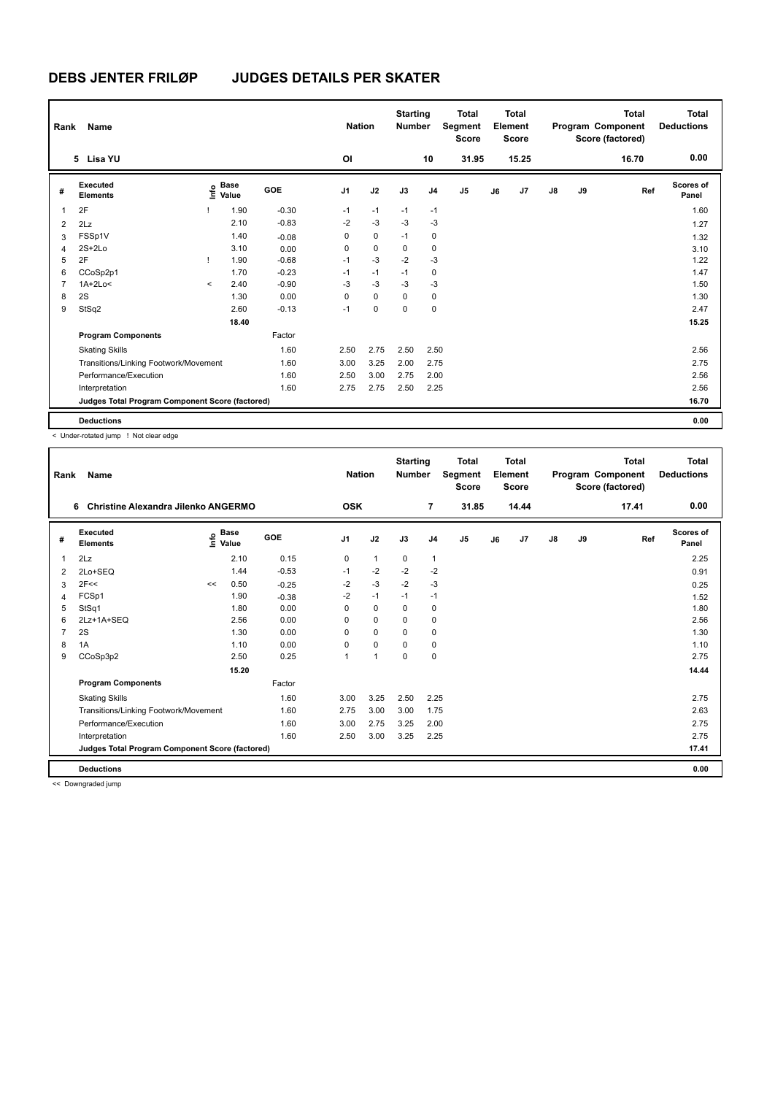| Rank           | Name                                            |         |                      |         | <b>Nation</b>  |             | <b>Starting</b><br><b>Number</b> |                | <b>Total</b><br>Segment<br><b>Score</b> |    | Total<br>Element<br><b>Score</b> |               |    | <b>Total</b><br>Program Component<br>Score (factored) | Total<br><b>Deductions</b> |
|----------------|-------------------------------------------------|---------|----------------------|---------|----------------|-------------|----------------------------------|----------------|-----------------------------------------|----|----------------------------------|---------------|----|-------------------------------------------------------|----------------------------|
|                | 5 Lisa YU                                       |         |                      |         | OI             |             |                                  | 10             | 31.95                                   |    | 15.25                            |               |    | 16.70                                                 | 0.00                       |
| #              | Executed<br><b>Elements</b>                     | ۴٥      | <b>Base</b><br>Value | GOE     | J <sub>1</sub> | J2          | J3                               | J <sub>4</sub> | J <sub>5</sub>                          | J6 | J <sub>7</sub>                   | $\mathsf{J}8$ | J9 | Ref                                                   | Scores of<br>Panel         |
| 1              | 2F                                              |         | 1.90                 | $-0.30$ | $-1$           | $-1$        | $-1$                             | $-1$           |                                         |    |                                  |               |    |                                                       | 1.60                       |
| 2              | 2Lz                                             |         | 2.10                 | $-0.83$ | $-2$           | $-3$        | $-3$                             | $-3$           |                                         |    |                                  |               |    |                                                       | 1.27                       |
| 3              | FSSp1V                                          |         | 1.40                 | $-0.08$ | 0              | $\mathbf 0$ | $-1$                             | 0              |                                         |    |                                  |               |    |                                                       | 1.32                       |
| 4              | $2S+2Lo$                                        |         | 3.10                 | 0.00    | 0              | $\mathbf 0$ | $\mathbf 0$                      | 0              |                                         |    |                                  |               |    |                                                       | 3.10                       |
| 5              | 2F                                              | т       | 1.90                 | $-0.68$ | $-1$           | $-3$        | $-2$                             | $-3$           |                                         |    |                                  |               |    |                                                       | 1.22                       |
| 6              | CCoSp2p1                                        |         | 1.70                 | $-0.23$ | $-1$           | $-1$        | $-1$                             | 0              |                                         |    |                                  |               |    |                                                       | 1.47                       |
| $\overline{7}$ | $1A+2Lo<$                                       | $\prec$ | 2.40                 | $-0.90$ | $-3$           | $-3$        | $-3$                             | $-3$           |                                         |    |                                  |               |    |                                                       | 1.50                       |
| 8              | 2S                                              |         | 1.30                 | 0.00    | $\Omega$       | $\mathbf 0$ | $\mathbf 0$                      | 0              |                                         |    |                                  |               |    |                                                       | 1.30                       |
| 9              | StSq2                                           |         | 2.60                 | $-0.13$ | $-1$           | 0           | 0                                | 0              |                                         |    |                                  |               |    |                                                       | 2.47                       |
|                |                                                 |         | 18.40                |         |                |             |                                  |                |                                         |    |                                  |               |    |                                                       | 15.25                      |
|                | <b>Program Components</b>                       |         |                      | Factor  |                |             |                                  |                |                                         |    |                                  |               |    |                                                       |                            |
|                | <b>Skating Skills</b>                           |         |                      | 1.60    | 2.50           | 2.75        | 2.50                             | 2.50           |                                         |    |                                  |               |    |                                                       | 2.56                       |
|                | Transitions/Linking Footwork/Movement           |         |                      | 1.60    | 3.00           | 3.25        | 2.00                             | 2.75           |                                         |    |                                  |               |    |                                                       | 2.75                       |
|                | Performance/Execution                           |         |                      | 1.60    | 2.50           | 3.00        | 2.75                             | 2.00           |                                         |    |                                  |               |    |                                                       | 2.56                       |
|                | Interpretation                                  |         |                      | 1.60    | 2.75           | 2.75        | 2.50                             | 2.25           |                                         |    |                                  |               |    |                                                       | 2.56                       |
|                | Judges Total Program Component Score (factored) |         |                      |         |                |             |                                  |                |                                         |    |                                  |               |    |                                                       | 16.70                      |
|                | <b>Deductions</b>                               |         |                      |         |                |             |                                  |                |                                         |    |                                  |               |    |                                                       | 0.00                       |

< Under-rotated jump ! Not clear edge

| Rank           | <b>Name</b>                                     |      |                      |         | <b>Nation</b>  |              | <b>Starting</b><br><b>Number</b> |                | Total<br>Segment<br><b>Score</b> |    | Total<br>Element<br><b>Score</b> |               |    | Total<br>Program Component<br>Score (factored) | Total<br><b>Deductions</b> |
|----------------|-------------------------------------------------|------|----------------------|---------|----------------|--------------|----------------------------------|----------------|----------------------------------|----|----------------------------------|---------------|----|------------------------------------------------|----------------------------|
|                | Christine Alexandra Jilenko ANGERMO<br>6        |      |                      |         | <b>OSK</b>     |              |                                  | $\overline{7}$ | 31.85                            |    | 14.44                            |               |    | 17.41                                          | 0.00                       |
| #              | Executed<br><b>Elements</b>                     | lnfo | <b>Base</b><br>Value | GOE     | J <sub>1</sub> | J2           | J3                               | J <sub>4</sub> | J <sub>5</sub>                   | J6 | J7                               | $\mathsf{J}8$ | J9 | Ref                                            | <b>Scores of</b><br>Panel  |
| 1              | 2Lz                                             |      | 2.10                 | 0.15    | 0              | $\mathbf{1}$ | 0                                | 1              |                                  |    |                                  |               |    |                                                | 2.25                       |
| $\overline{2}$ | 2Lo+SEQ                                         |      | 1.44                 | $-0.53$ | $-1$           | $-2$         | $-2$                             | $-2$           |                                  |    |                                  |               |    |                                                | 0.91                       |
| 3              | 2F<<                                            | <<   | 0.50                 | $-0.25$ | $-2$           | $-3$         | $-2$                             | $-3$           |                                  |    |                                  |               |    |                                                | 0.25                       |
| 4              | FCSp1                                           |      | 1.90                 | $-0.38$ | $-2$           | $-1$         | $-1$                             | $-1$           |                                  |    |                                  |               |    |                                                | 1.52                       |
| 5              | StSq1                                           |      | 1.80                 | 0.00    | 0              | 0            | 0                                | 0              |                                  |    |                                  |               |    |                                                | 1.80                       |
| 6              | 2Lz+1A+SEQ                                      |      | 2.56                 | 0.00    | 0              | 0            | 0                                | 0              |                                  |    |                                  |               |    |                                                | 2.56                       |
| 7              | 2S                                              |      | 1.30                 | 0.00    | $\Omega$       | 0            | 0                                | 0              |                                  |    |                                  |               |    |                                                | 1.30                       |
| 8              | 1A                                              |      | 1.10                 | 0.00    | 0              | 0            | 0                                | 0              |                                  |    |                                  |               |    |                                                | 1.10                       |
| 9              | CCoSp3p2                                        |      | 2.50                 | 0.25    | 1              | 1            | $\Omega$                         | 0              |                                  |    |                                  |               |    |                                                | 2.75                       |
|                |                                                 |      | 15.20                |         |                |              |                                  |                |                                  |    |                                  |               |    |                                                | 14.44                      |
|                | <b>Program Components</b>                       |      |                      | Factor  |                |              |                                  |                |                                  |    |                                  |               |    |                                                |                            |
|                | <b>Skating Skills</b>                           |      |                      | 1.60    | 3.00           | 3.25         | 2.50                             | 2.25           |                                  |    |                                  |               |    |                                                | 2.75                       |
|                | Transitions/Linking Footwork/Movement           |      |                      | 1.60    | 2.75           | 3.00         | 3.00                             | 1.75           |                                  |    |                                  |               |    |                                                | 2.63                       |
|                | Performance/Execution                           |      |                      | 1.60    | 3.00           | 2.75         | 3.25                             | 2.00           |                                  |    |                                  |               |    |                                                | 2.75                       |
|                | Interpretation                                  |      |                      | 1.60    | 2.50           | 3.00         | 3.25                             | 2.25           |                                  |    |                                  |               |    |                                                | 2.75                       |
|                | Judges Total Program Component Score (factored) |      |                      |         |                |              |                                  |                |                                  |    |                                  |               |    |                                                | 17.41                      |
|                | <b>Deductions</b>                               |      |                      |         |                |              |                                  |                |                                  |    |                                  |               |    |                                                | 0.00                       |

<< Downgraded jump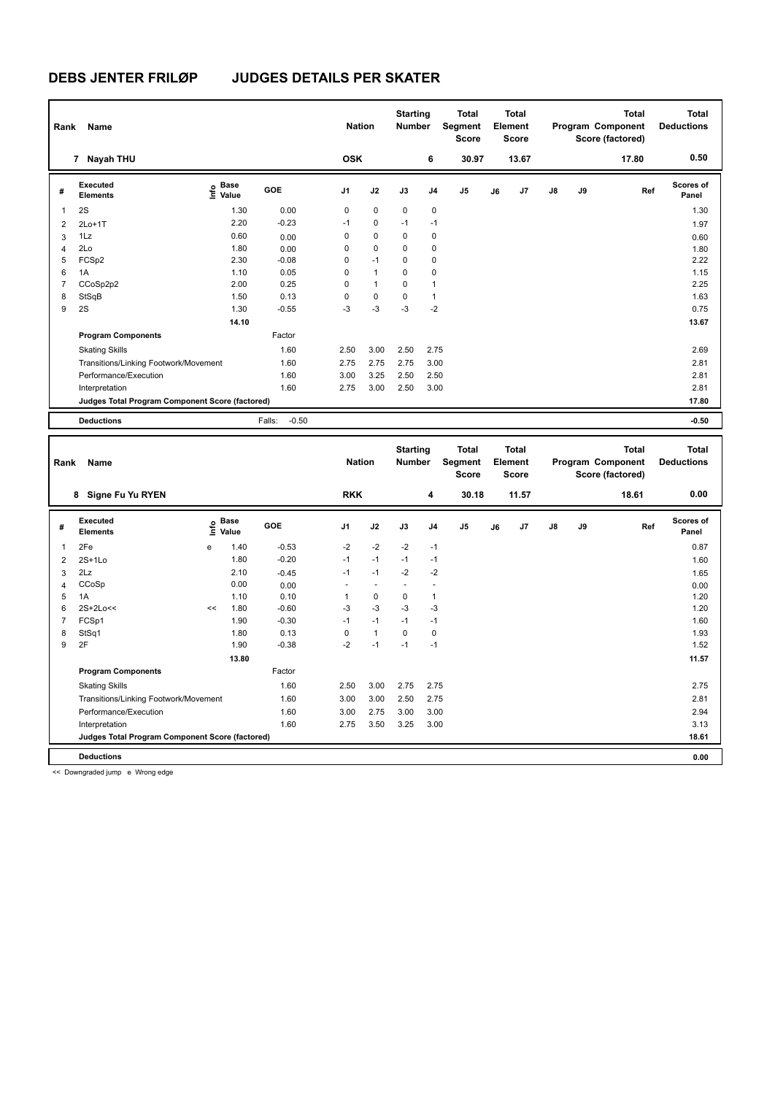| Rank           | Name                                            |                                  |                   | <b>Nation</b>  |                          | <b>Starting</b><br><b>Number</b> |                | <b>Total</b><br>Segment<br><b>Score</b> |    | <b>Total</b><br>Element<br><b>Score</b> |    |    | <b>Total</b><br>Program Component<br>Score (factored) | <b>Total</b><br><b>Deductions</b> |
|----------------|-------------------------------------------------|----------------------------------|-------------------|----------------|--------------------------|----------------------------------|----------------|-----------------------------------------|----|-----------------------------------------|----|----|-------------------------------------------------------|-----------------------------------|
|                | 7 Nayah THU                                     |                                  |                   | <b>OSK</b>     |                          |                                  | 6              | 30.97                                   |    | 13.67                                   |    |    | 17.80                                                 | 0.50                              |
| #              | Executed<br><b>Elements</b>                     | <b>Base</b><br>e Base<br>⊆ Value | GOE               | J <sub>1</sub> | J2                       | J3                               | J <sub>4</sub> | J <sub>5</sub>                          | J6 | J7                                      | J8 | J9 | Ref                                                   | Scores of<br>Panel                |
| $\mathbf{1}$   | 2S                                              | 1.30                             | 0.00              | 0              | $\mathbf 0$              | $\mathbf 0$                      | $\mathbf 0$    |                                         |    |                                         |    |    |                                                       | 1.30                              |
| $\overline{2}$ | $2Lo+1T$                                        | 2.20                             | $-0.23$           | $-1$           | 0                        | $-1$                             | $-1$           |                                         |    |                                         |    |    |                                                       | 1.97                              |
| 3              | 1Lz                                             | 0.60                             | 0.00              | 0              | 0                        | 0                                | 0              |                                         |    |                                         |    |    |                                                       | 0.60                              |
| 4              | 2Lo                                             | 1.80                             | 0.00              | 0              | 0                        | 0                                | 0              |                                         |    |                                         |    |    |                                                       | 1.80                              |
| 5              | FCSp2                                           | 2.30                             | $-0.08$           | $\mathbf 0$    | $-1$                     | $\mathbf 0$                      | 0              |                                         |    |                                         |    |    |                                                       | 2.22                              |
| 6              | 1A                                              | 1.10                             | 0.05              | 0              | $\mathbf{1}$             | 0                                | 0              |                                         |    |                                         |    |    |                                                       | 1.15                              |
| $\overline{7}$ | CCoSp2p2                                        | 2.00                             | 0.25              | $\mathbf 0$    | $\mathbf{1}$             | $\mathbf 0$                      | 1              |                                         |    |                                         |    |    |                                                       | 2.25                              |
| 8              | StSqB                                           | 1.50                             | 0.13              | 0              | 0                        | 0                                | $\mathbf{1}$   |                                         |    |                                         |    |    |                                                       | 1.63                              |
| 9              | 2S                                              | 1.30                             | $-0.55$           | -3             | $-3$                     | $-3$                             | $-2$           |                                         |    |                                         |    |    |                                                       | 0.75                              |
|                |                                                 | 14.10                            |                   |                |                          |                                  |                |                                         |    |                                         |    |    |                                                       | 13.67                             |
|                | <b>Program Components</b>                       |                                  | Factor            |                |                          |                                  |                |                                         |    |                                         |    |    |                                                       |                                   |
|                | <b>Skating Skills</b>                           |                                  | 1.60              | 2.50           | 3.00                     | 2.50                             | 2.75           |                                         |    |                                         |    |    |                                                       | 2.69                              |
|                | Transitions/Linking Footwork/Movement           |                                  | 1.60              | 2.75           | 2.75                     | 2.75                             | 3.00           |                                         |    |                                         |    |    |                                                       | 2.81                              |
|                | Performance/Execution                           |                                  | 1.60              | 3.00           | 3.25                     | 2.50                             | 2.50           |                                         |    |                                         |    |    |                                                       | 2.81                              |
|                | Interpretation                                  |                                  | 1.60              | 2.75           | 3.00                     | 2.50                             | 3.00           |                                         |    |                                         |    |    |                                                       | 2.81                              |
|                | Judges Total Program Component Score (factored) |                                  |                   |                |                          |                                  |                |                                         |    |                                         |    |    |                                                       | 17.80                             |
|                |                                                 |                                  |                   |                |                          |                                  |                |                                         |    |                                         |    |    |                                                       |                                   |
|                | <b>Deductions</b>                               |                                  | $-0.50$<br>Falls: |                |                          |                                  |                |                                         |    |                                         |    |    |                                                       | $-0.50$                           |
| Rank           | Name                                            |                                  |                   | <b>Nation</b>  |                          | <b>Starting</b><br><b>Number</b> |                | <b>Total</b><br>Segment<br><b>Score</b> |    | <b>Total</b><br>Element<br><b>Score</b> |    |    | <b>Total</b><br>Program Component<br>Score (factored) | <b>Total</b><br><b>Deductions</b> |
|                | 8 Signe Fu Yu RYEN                              |                                  |                   | <b>RKK</b>     |                          |                                  | 4              | 30.18                                   |    | 11.57                                   |    |    | 18.61                                                 | 0.00                              |
| #              | Executed<br><b>Elements</b>                     | e Base<br>E Value<br>Value       | GOE               | J1             | J2                       | J3                               | J4             | J5                                      | J6 | J7                                      | J8 | J9 | Ref                                                   | Scores of<br>Panel                |
| 1              | 2Fe                                             | 1.40<br>e                        | $-0.53$           | $-2$           | $-2$                     | $-2$                             | $-1$           |                                         |    |                                         |    |    |                                                       | 0.87                              |
| 2              | 2S+1Lo                                          | 1.80                             | $-0.20$           | $-1$           | $-1$                     | $-1$                             | $-1$           |                                         |    |                                         |    |    |                                                       | 1.60                              |
| 3              | 2Lz                                             | 2.10                             | $-0.45$           | $-1$           | $-1$                     | $-2$                             | $-2$           |                                         |    |                                         |    |    |                                                       | 1.65                              |
| $\overline{4}$ | CCoSp                                           | 0.00                             | 0.00              |                | $\overline{\phantom{a}}$ |                                  | $\overline{a}$ |                                         |    |                                         |    |    |                                                       | 0.00                              |
| 5              | 1A                                              | 1.10                             | 0.10              | $\mathbf{1}$   | 0                        | $\mathbf 0$                      | $\mathbf{1}$   |                                         |    |                                         |    |    |                                                       | 1.20                              |
| 6              | 2S+2Lo<<                                        | 1.80<br><<                       | $-0.60$           | $-3$           | $-3$                     | $-3$                             | $-3$           |                                         |    |                                         |    |    |                                                       | 1.20                              |

7 FCSp1 1.90 -0.30 -1 -1 -1 -1 1.60 8 StSq1 1.80 0.13 0 1 0 0 1.93 9 2F 1.90 -0.38 -2 -1 -1 -1 1.52

Factor

Skating Skills 2.50 3.00 2.75 2.75 1.60 2.75

Transitions/Linking Footwork/Movement 1.60 3.00 3.00 2.50 2.75 2.81 Performance/Execution 1.60 3.00 2.75 3.00 3.00 3.00 3.00 2.94 Interpretation 1.60 2.75 3.50 3.25 3.00 3.13 3.13

**Judges Total Program Component Score (factored) 18.61**

 **13.80 11.57**

**Deductions 0.00**

<< Downgraded jump e Wrong edge

**Program Components**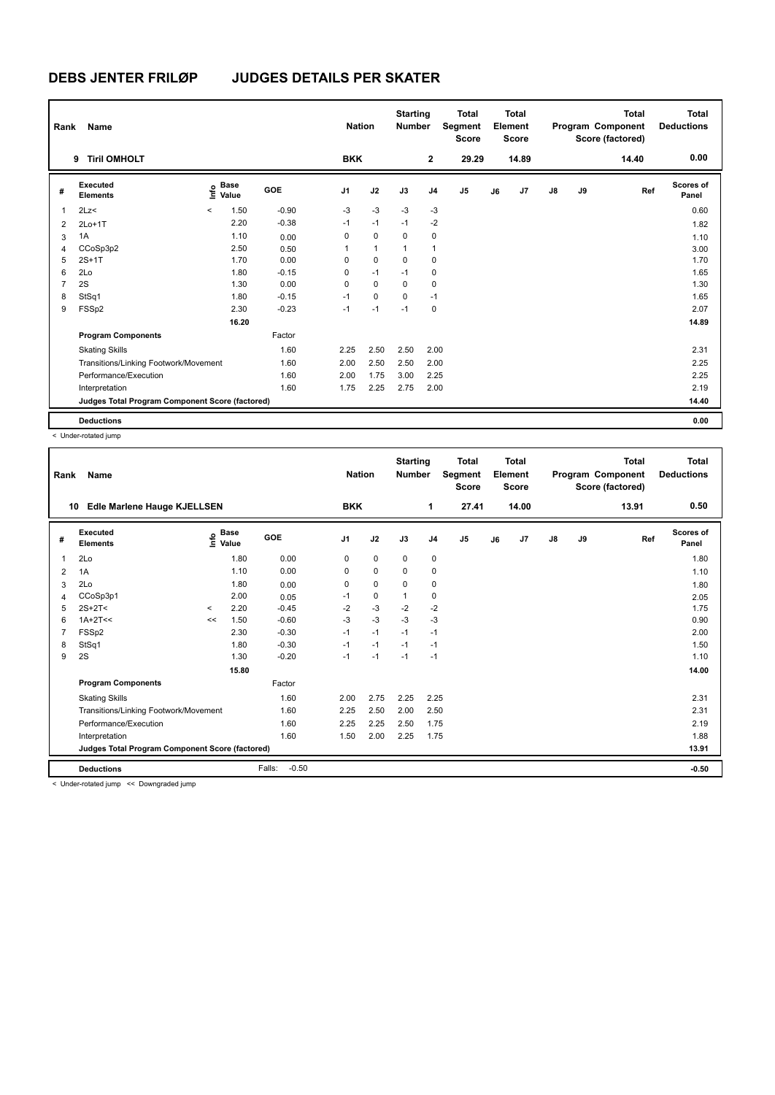| Rank           | Name                                            |         |                      |         |                | <b>Nation</b> | <b>Starting</b><br><b>Number</b> |                | <b>Total</b><br>Segment<br><b>Score</b> |    | <b>Total</b><br>Element<br>Score |               |    | <b>Total</b><br>Program Component<br>Score (factored) | <b>Total</b><br><b>Deductions</b> |
|----------------|-------------------------------------------------|---------|----------------------|---------|----------------|---------------|----------------------------------|----------------|-----------------------------------------|----|----------------------------------|---------------|----|-------------------------------------------------------|-----------------------------------|
|                | <b>Tiril OMHOLT</b><br>9                        |         |                      |         | <b>BKK</b>     |               |                                  | $\mathbf{2}$   | 29.29                                   |    | 14.89                            |               |    | 14.40                                                 | 0.00                              |
| #              | Executed<br><b>Elements</b>                     | ۴٥      | <b>Base</b><br>Value | GOE     | J <sub>1</sub> | J2            | J3                               | J <sub>4</sub> | J <sub>5</sub>                          | J6 | J7                               | $\mathsf{J}8$ | J9 | Ref                                                   | Scores of<br>Panel                |
| 1              | 2Lz                                             | $\prec$ | 1.50                 | $-0.90$ | $-3$           | $-3$          | $-3$                             | $-3$           |                                         |    |                                  |               |    |                                                       | 0.60                              |
| $\overline{2}$ | $2Lo+1T$                                        |         | 2.20                 | $-0.38$ | $-1$           | $-1$          | $-1$                             | $-2$           |                                         |    |                                  |               |    |                                                       | 1.82                              |
| 3              | 1A                                              |         | 1.10                 | 0.00    | 0              | $\mathbf 0$   | 0                                | 0              |                                         |    |                                  |               |    |                                                       | 1.10                              |
| 4              | CCoSp3p2                                        |         | 2.50                 | 0.50    | 1              | $\mathbf{1}$  | 1                                | $\overline{1}$ |                                         |    |                                  |               |    |                                                       | 3.00                              |
| 5              | $2S+1T$                                         |         | 1.70                 | 0.00    | $\Omega$       | $\Omega$      | $\Omega$                         | 0              |                                         |    |                                  |               |    |                                                       | 1.70                              |
| 6              | 2Lo                                             |         | 1.80                 | $-0.15$ | $\Omega$       | $-1$          | $-1$                             | 0              |                                         |    |                                  |               |    |                                                       | 1.65                              |
| $\overline{7}$ | 2S                                              |         | 1.30                 | 0.00    | 0              | $\mathbf 0$   | 0                                | 0              |                                         |    |                                  |               |    |                                                       | 1.30                              |
| 8              | StSq1                                           |         | 1.80                 | $-0.15$ | $-1$           | $\mathbf 0$   | $\mathbf 0$                      | $-1$           |                                         |    |                                  |               |    |                                                       | 1.65                              |
| 9              | FSSp2                                           |         | 2.30                 | $-0.23$ | $-1$           | $-1$          | $-1$                             | $\mathbf 0$    |                                         |    |                                  |               |    |                                                       | 2.07                              |
|                |                                                 |         | 16.20                |         |                |               |                                  |                |                                         |    |                                  |               |    |                                                       | 14.89                             |
|                | <b>Program Components</b>                       |         |                      | Factor  |                |               |                                  |                |                                         |    |                                  |               |    |                                                       |                                   |
|                | <b>Skating Skills</b>                           |         |                      | 1.60    | 2.25           | 2.50          | 2.50                             | 2.00           |                                         |    |                                  |               |    |                                                       | 2.31                              |
|                | Transitions/Linking Footwork/Movement           |         |                      | 1.60    | 2.00           | 2.50          | 2.50                             | 2.00           |                                         |    |                                  |               |    |                                                       | 2.25                              |
|                | Performance/Execution                           |         |                      | 1.60    | 2.00           | 1.75          | 3.00                             | 2.25           |                                         |    |                                  |               |    |                                                       | 2.25                              |
|                | Interpretation                                  |         |                      | 1.60    | 1.75           | 2.25          | 2.75                             | 2.00           |                                         |    |                                  |               |    |                                                       | 2.19                              |
|                | Judges Total Program Component Score (factored) |         |                      |         |                |               |                                  |                |                                         |    |                                  |               |    |                                                       | 14.40                             |
|                | <b>Deductions</b>                               |         |                      |         |                |               |                                  |                |                                         |    |                                  |               |    |                                                       | 0.00                              |

< Under-rotated jump

| Rank | Name                                            |         |                                           |                   | <b>Nation</b>  |      | <b>Starting</b><br><b>Number</b> |                | <b>Total</b><br>Segment<br><b>Score</b> |    | <b>Total</b><br>Element<br><b>Score</b> |               |    | <b>Total</b><br>Program Component<br>Score (factored) | <b>Total</b><br><b>Deductions</b> |
|------|-------------------------------------------------|---------|-------------------------------------------|-------------------|----------------|------|----------------------------------|----------------|-----------------------------------------|----|-----------------------------------------|---------------|----|-------------------------------------------------------|-----------------------------------|
|      | Edle Marlene Hauge KJELLSEN<br>10               |         |                                           |                   | <b>BKK</b>     |      |                                  | 1              | 27.41                                   |    | 14.00                                   |               |    | 13.91                                                 | 0.50                              |
| #    | Executed<br><b>Elements</b>                     |         | $\frac{e}{E}$ Base<br>$\frac{e}{E}$ Value | GOE               | J <sub>1</sub> | J2   | J3                               | J <sub>4</sub> | J <sub>5</sub>                          | J6 | J <sub>7</sub>                          | $\mathsf{J}8$ | J9 | Ref                                                   | <b>Scores of</b><br>Panel         |
| 1    | 2Lo                                             |         | 1.80                                      | 0.00              | 0              | 0    | 0                                | 0              |                                         |    |                                         |               |    |                                                       | 1.80                              |
| 2    | 1A                                              |         | 1.10                                      | 0.00              | 0              | 0    | 0                                | $\mathbf 0$    |                                         |    |                                         |               |    |                                                       | 1.10                              |
| 3    | 2Lo                                             |         | 1.80                                      | 0.00              | 0              | 0    | 0                                | 0              |                                         |    |                                         |               |    |                                                       | 1.80                              |
| 4    | CCoSp3p1                                        |         | 2.00                                      | 0.05              | $-1$           | 0    | 1                                | 0              |                                         |    |                                         |               |    |                                                       | 2.05                              |
| 5    | $2S+2T<$                                        | $\prec$ | 2.20                                      | $-0.45$           | $-2$           | $-3$ | $-2$                             | $-2$           |                                         |    |                                         |               |    |                                                       | 1.75                              |
| 6    | $1A+2T<<$                                       | <<      | 1.50                                      | $-0.60$           | $-3$           | $-3$ | $-3$                             | $-3$           |                                         |    |                                         |               |    |                                                       | 0.90                              |
| 7    | FSSp2                                           |         | 2.30                                      | $-0.30$           | $-1$           | $-1$ | $-1$                             | $-1$           |                                         |    |                                         |               |    |                                                       | 2.00                              |
| 8    | StSq1                                           |         | 1.80                                      | $-0.30$           | $-1$           | $-1$ | $-1$                             | $-1$           |                                         |    |                                         |               |    |                                                       | 1.50                              |
| 9    | 2S                                              |         | 1.30                                      | $-0.20$           | $-1$           | $-1$ | $-1$                             | $-1$           |                                         |    |                                         |               |    |                                                       | 1.10                              |
|      |                                                 |         | 15.80                                     |                   |                |      |                                  |                |                                         |    |                                         |               |    |                                                       | 14.00                             |
|      | <b>Program Components</b>                       |         |                                           | Factor            |                |      |                                  |                |                                         |    |                                         |               |    |                                                       |                                   |
|      | <b>Skating Skills</b>                           |         |                                           | 1.60              | 2.00           | 2.75 | 2.25                             | 2.25           |                                         |    |                                         |               |    |                                                       | 2.31                              |
|      | Transitions/Linking Footwork/Movement           |         |                                           | 1.60              | 2.25           | 2.50 | 2.00                             | 2.50           |                                         |    |                                         |               |    |                                                       | 2.31                              |
|      | Performance/Execution                           |         |                                           | 1.60              | 2.25           | 2.25 | 2.50                             | 1.75           |                                         |    |                                         |               |    |                                                       | 2.19                              |
|      | Interpretation                                  |         |                                           | 1.60              | 1.50           | 2.00 | 2.25                             | 1.75           |                                         |    |                                         |               |    |                                                       | 1.88                              |
|      | Judges Total Program Component Score (factored) |         |                                           |                   |                |      |                                  |                |                                         |    |                                         |               |    |                                                       | 13.91                             |
|      | <b>Deductions</b>                               |         |                                           | $-0.50$<br>Falls: |                |      |                                  |                |                                         |    |                                         |               |    |                                                       | $-0.50$                           |
|      | < Under-rotated jumn << Downgraded jumn         |         |                                           |                   |                |      |                                  |                |                                         |    |                                         |               |    |                                                       |                                   |

nder-rotated jump << Downgraded jump